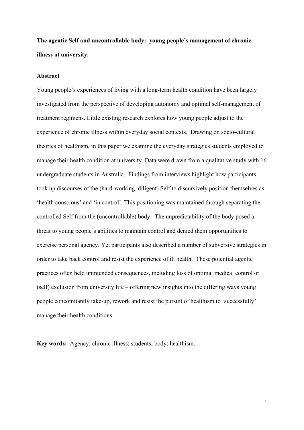**The agentic Self and uncontrollable body: young people's management of chronic illness at university.**

#### **Abstract**

Young people's experiences of living with a long-term health condition have been largely investigated from the perspective of developing autonomy and optimal self-management of treatment regimens. Little existing research explores how young people adjust to the experience of chronic illness within everyday social contexts. Drawing on socio-cultural theories of healthism, in this paper we examine the everyday strategies students employed to manage their health condition at university. Data were drawn from a qualitative study with 16 undergraduate students in Australia. Findings from interviews highlight how participants took up discourses of the (hard-working, diligent) Self to discursively position themselves as 'health conscious' and 'in control'. This positioning was maintained through separating the controlled Self from the (uncontrollable) body. The unpredictability of the body posed a threat to young people's abilities to maintain control and denied them opportunities to exercise personal agency. Yet participants also described a number of subversive strategies in order to take back control and resist the experience of ill health. These potential agentic practices often held unintended consequences, including loss of optimal medical control or (self) exclusion from university life – offering new insights into the differing ways young people concomitantly take-up, rework and resist the pursuit of healthism to 'successfully' manage their health conditions.

**Key words:** Agency; chronic illness; students; body; healthism.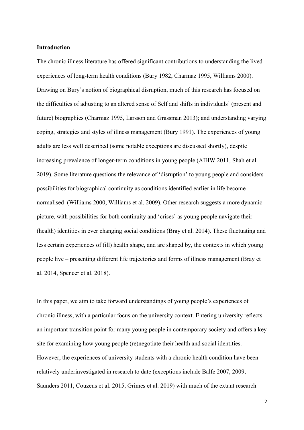#### **Introduction**

The chronic illness literature has offered significant contributions to understanding the lived experiences of long-term health conditions (Bury 1982, Charmaz 1995, Williams 2000). Drawing on Bury's notion of biographical disruption, much of this research has focused on the difficulties of adjusting to an altered sense of Self and shifts in individuals' (present and future) biographies (Charmaz 1995, Larsson and Grassman 2013); and understanding varying coping, strategies and styles of illness management (Bury 1991). The experiences of young adults are less well described (some notable exceptions are discussed shortly), despite increasing prevalence of longer-term conditions in young people (AIHW 2011, Shah et al. 2019). Some literature questions the relevance of 'disruption' to young people and considers possibilities for biographical continuity as conditions identified earlier in life become normalised (Williams 2000, Williams et al. 2009). Other research suggests a more dynamic picture, with possibilities for both continuity and 'crises' as young people navigate their (health) identities in ever changing social conditions (Bray et al. 2014). These fluctuating and less certain experiences of (ill) health shape, and are shaped by, the contexts in which young people live – presenting different life trajectories and forms of illness management (Bray et al. 2014, Spencer et al. 2018).

In this paper, we aim to take forward understandings of young people's experiences of chronic illness, with a particular focus on the university context. Entering university reflects an important transition point for many young people in contemporary society and offers a key site for examining how young people (re)negotiate their health and social identities. However, the experiences of university students with a chronic health condition have been relatively underinvestigated in research to date (exceptions include Balfe 2007, 2009, Saunders 2011, Couzens et al. 2015, Grimes et al. 2019) with much of the extant research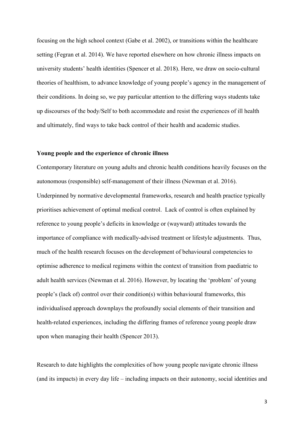focusing on the high school context (Gabe et al. 2002), or transitions within the healthcare setting (Fegran et al. 2014). We have reported elsewhere on how chronic illness impacts on university students' health identities (Spencer et al. 2018). Here, we draw on socio-cultural theories of healthism, to advance knowledge of young people's agency in the management of their conditions. In doing so, we pay particular attention to the differing ways students take up discourses of the body/Self to both accommodate and resist the experiences of ill health and ultimately, find ways to take back control of their health and academic studies.

#### **Young people and the experience of chronic illness**

Contemporary literature on young adults and chronic health conditions heavily focuses on the autonomous (responsible) self-management of their illness (Newman et al. 2016). Underpinned by normative developmental frameworks, research and health practice typically prioritises achievement of optimal medical control. Lack of control is often explained by reference to young people's deficits in knowledge or (wayward) attitudes towards the importance of compliance with medically-advised treatment or lifestyle adjustments. Thus, much of the health research focuses on the development of behavioural competencies to optimise adherence to medical regimens within the context of transition from paediatric to adult health services (Newman et al. 2016). However, by locating the 'problem' of young people's (lack of) control over their condition(s) within behavioural frameworks, this individualised approach downplays the profoundly social elements of their transition and health-related experiences, including the differing frames of reference young people draw upon when managing their health (Spencer 2013).

Research to date highlights the complexities of how young people navigate chronic illness (and its impacts) in every day life – including impacts on their autonomy, social identities and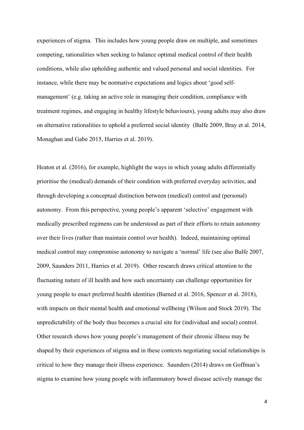experiences of stigma. This includes how young people draw on multiple, and sometimes competing, rationalities when seeking to balance optimal medical control of their health conditions, while also upholding authentic and valued personal and social identities. For instance, while there may be normative expectations and logics about 'good selfmanagement' (e.g. taking an active role in managing their condition, compliance with treatment regimes, and engaging in healthy lifestyle behaviours), young adults may also draw on alternative rationalities to uphold a preferred social identity (Balfe 2009, Bray et al. 2014, Monaghan and Gabe 2015, Harries et al. 2019).

Heaton et al. (2016), for example, highlight the ways in which young adults differentially prioritise the (medical) demands of their condition with preferred everyday activities, and through developing a conceptual distinction between (medical) control and (personal) autonomy. From this perspective, young people's apparent 'selective' engagement with medically prescribed regimens can be understood as part of their efforts to retain autonomy over their lives (rather than maintain control over health). Indeed, maintaining optimal medical control may compromise autonomy to navigate a 'normal' life (see also Balfe 2007, 2009, Saunders 2011, Harries et al. 2019). Other research draws critical attention to the fluctuating nature of ill health and how such uncertainty can challenge opportunities for young people to enact preferred health identities (Barned et al. 2016, Spencer et al. 2018), with impacts on their mental health and emotional wellbeing (Wilson and Stock 2019). The unpredictability of the body thus becomes a crucial site for (individual and social) control. Other research shows how young people's management of their chronic illness may be shaped by their experiences of stigma and in these contexts negotiating social relationships is critical to how they manage their illness experience. Saunders (2014) draws on Goffman's stigma to examine how young people with inflammatory bowel disease actively manage the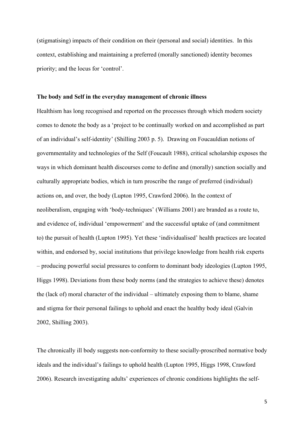(stigmatising) impacts of their condition on their (personal and social) identities. In this context, establishing and maintaining a preferred (morally sanctioned) identity becomes priority; and the locus for 'control'.

#### **The body and Self in the everyday management of chronic illness**

Healthism has long recognised and reported on the processes through which modern society comes to denote the body as a 'project to be continually worked on and accomplished as part of an individual's self-identity' (Shilling 2003 p. 5). Drawing on Foucauldian notions of governmentality and technologies of the Self (Foucault 1988), critical scholarship exposes the ways in which dominant health discourses come to define and (morally) sanction socially and culturally appropriate bodies, which in turn proscribe the range of preferred (individual) actions on, and over, the body (Lupton 1995, Crawford 2006). In the context of neoliberalism, engaging with 'body-techniques' (Williams 2001) are branded as a route to, and evidence of, individual 'empowerment' and the successful uptake of (and commitment to) the pursuit of health (Lupton 1995). Yet these 'individualised' health practices are located within, and endorsed by, social institutions that privilege knowledge from health risk experts – producing powerful social pressures to conform to dominant body ideologies (Lupton 1995, Higgs 1998). Deviations from these body norms (and the strategies to achieve these) denotes the (lack of) moral character of the individual – ultimately exposing them to blame, shame and stigma for their personal failings to uphold and enact the healthy body ideal (Galvin 2002, Shilling 2003).

The chronically ill body suggests non-conformity to these socially-proscribed normative body ideals and the individual's failings to uphold health (Lupton 1995, Higgs 1998, Crawford 2006). Research investigating adults' experiences of chronic conditions highlights the self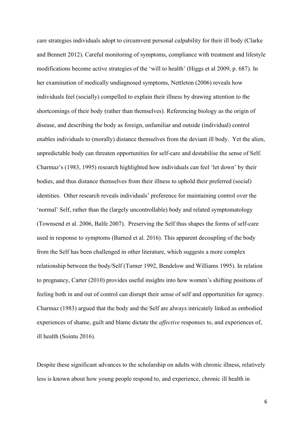care strategies individuals adopt to circumvent personal culpability for their ill body (Clarke and Bennett 2012). Careful monitoring of symptoms, compliance with treatment and lifestyle modifications become active strategies of the 'will to health' (Higgs et al 2009, p. 687). In her examination of medically undiagnosed symptoms, Nettleton (2006) reveals how individuals feel (socially) compelled to explain their illness by drawing attention to the shortcomings of their body (rather than themselves). Referencing biology as the origin of disease, and describing the body as foreign, unfamiliar and outside (individual) control enables individuals to (morally) distance themselves from the deviant ill body. Yet the alien, unpredictable body can threaten opportunities for self-care and destabilise the sense of Self. Charmaz's (1983, 1995) research highlighted how individuals can feel 'let down' by their bodies, and thus distance themselves from their illness to uphold their preferred (social) identities. Other research reveals individuals' preference for maintaining control over the 'normal' Self, rather than the (largely uncontrollable) body and related symptomatology (Townsend et al. 2006, Balfe 2007). Preserving the Self thus shapes the forms of self-care used in response to symptoms (Barned et al. 2016). This apparent decoupling of the body from the Self has been challenged in other literature, which suggests a more complex relationship between the body/Self (Turner 1992, Bendelow and Williams 1995). In relation to pregnancy, Carter (2010) provides useful insights into how women's shifting positions of feeling both in and out of control can disrupt their sense of self and opportunities for agency. Charmaz (1983) argued that the body and the Self are always intricately linked as embodied experiences of shame, guilt and blame dictate the *affective* responses to, and experiences of, ill health (Sointu 2016).

Despite these significant advances to the scholarship on adults with chronic illness, relatively less is known about how young people respond to, and experience, chronic ill health in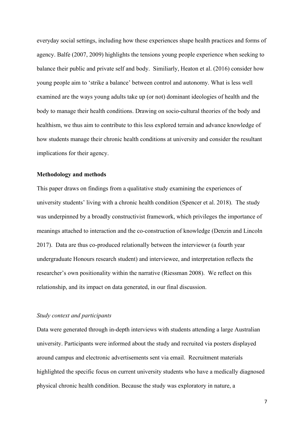everyday social settings, including how these experiences shape health practices and forms of agency. Balfe (2007, 2009) highlights the tensions young people experience when seeking to balance their public and private self and body. Similiarly, Heaton et al. (2016) consider how young people aim to 'strike a balance' between control and autonomy. What is less well examined are the ways young adults take up (or not) dominant ideologies of health and the body to manage their health conditions. Drawing on socio-cultural theories of the body and healthism, we thus aim to contribute to this less explored terrain and advance knowledge of how students manage their chronic health conditions at university and consider the resultant implications for their agency.

#### **Methodology and methods**

This paper draws on findings from a qualitative study examining the experiences of university students' living with a chronic health condition (Spencer et al. 2018). The study was underpinned by a broadly constructivist framework, which privileges the importance of meanings attached to interaction and the co-construction of knowledge (Denzin and Lincoln 2017). Data are thus co-produced relationally between the interviewer (a fourth year undergraduate Honours research student) and interviewee, and interpretation reflects the researcher's own positionality within the narrative (Riessman 2008). We reflect on this relationship, and its impact on data generated, in our final discussion.

## *Study context and participants*

Data were generated through in-depth interviews with students attending a large Australian university. Participants were informed about the study and recruited via posters displayed around campus and electronic advertisements sent via email. Recruitment materials highlighted the specific focus on current university students who have a medically diagnosed physical chronic health condition. Because the study was exploratory in nature, a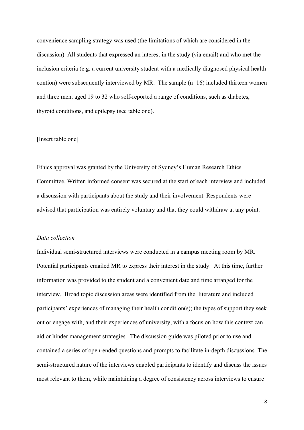convenience sampling strategy was used (the limitations of which are considered in the discussion). All students that expressed an interest in the study (via email) and who met the inclusion criteria (e.g. a current university student with a medically diagnosed physical health contion) were subsequently interviewed by MR. The sample  $(n=16)$  included thirteen women and three men, aged 19 to 32 who self-reported a range of conditions, such as diabetes, thyroid conditions, and epilepsy (see table one).

## [Insert table one]

Ethics approval was granted by the University of Sydney's Human Research Ethics Committee. Written informed consent was secured at the start of each interview and included a discussion with participants about the study and their involvement. Respondents were advised that participation was entirely voluntary and that they could withdraw at any point.

#### *Data collection*

Individual semi-structured interviews were conducted in a campus meeting room by MR. Potential participants emailed MR to express their interest in the study. At this time, further information was provided to the student and a convenient date and time arranged for the interview. Broad topic discussion areas were identified from the literature and included participants' experiences of managing their health condition(s); the types of support they seek out or engage with, and their experiences of university, with a focus on how this context can aid or hinder management strategies. The discussion guide was piloted prior to use and contained a series of open-ended questions and prompts to facilitate in-depth discussions. The semi-structured nature of the interviews enabled participants to identify and discuss the issues most relevant to them, while maintaining a degree of consistency across interviews to ensure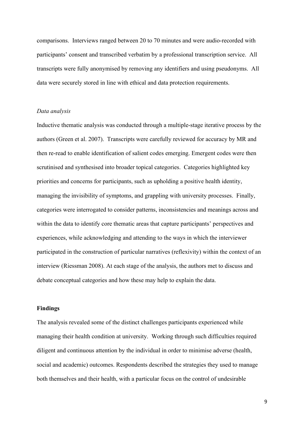comparisons. Interviews ranged between 20 to 70 minutes and were audio-recorded with participants' consent and transcribed verbatim by a professional transcription service. All transcripts were fully anonymised by removing any identifiers and using pseudonyms. All data were securely stored in line with ethical and data protection requirements.

#### *Data analysis*

Inductive thematic analysis was conducted through a multiple-stage iterative process by the authors (Green et al. 2007). Transcripts were carefully reviewed for accuracy by MR and then re-read to enable identification of salient codes emerging. Emergent codes were then scrutinised and synthesised into broader topical categories. Categories highlighted key priorities and concerns for participants, such as upholding a positive health identity, managing the invisibility of symptoms, and grappling with university processes. Finally, categories were interrogated to consider patterns, inconsistencies and meanings across and within the data to identify core thematic areas that capture participants' perspectives and experiences, while acknowledging and attending to the ways in which the interviewer participated in the construction of particular narratives (reflexivity) within the context of an interview (Riessman 2008). At each stage of the analysis, the authors met to discuss and debate conceptual categories and how these may help to explain the data.

#### **Findings**

The analysis revealed some of the distinct challenges participants experienced while managing their health condition at university. Working through such difficulties required diligent and continuous attention by the individual in order to minimise adverse (health, social and academic) outcomes. Respondents described the strategies they used to manage both themselves and their health, with a particular focus on the control of undesirable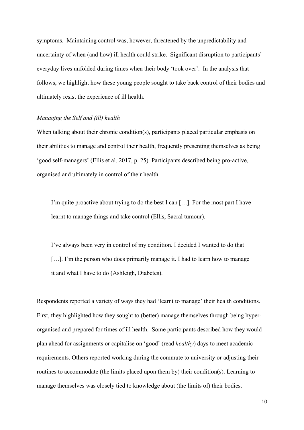symptoms. Maintaining control was, however, threatened by the unpredictability and uncertainty of when (and how) ill health could strike. Significant disruption to participants' everyday lives unfolded during times when their body 'took over'. In the analysis that follows, we highlight how these young people sought to take back control of their bodies and ultimately resist the experience of ill health.

### *Managing the Self and (ill) health*

When talking about their chronic condition(s), participants placed particular emphasis on their abilities to manage and control their health, frequently presenting themselves as being 'good self-managers' (Ellis et al. 2017, p. 25). Participants described being pro-active, organised and ultimately in control of their health.

I'm quite proactive about trying to do the best I can […]. For the most part I have learnt to manage things and take control (Ellis, Sacral tumour).

I've always been very in control of my condition. I decided I wanted to do that [...]. I'm the person who does primarily manage it. I had to learn how to manage it and what I have to do (Ashleigh, Diabetes).

Respondents reported a variety of ways they had 'learnt to manage' their health conditions. First, they highlighted how they sought to (better) manage themselves through being hyperorganised and prepared for times of ill health. Some participants described how they would plan ahead for assignments or capitalise on 'good' (read *healthy*) days to meet academic requirements. Others reported working during the commute to university or adjusting their routines to accommodate (the limits placed upon them by) their condition(s). Learning to manage themselves was closely tied to knowledge about (the limits of) their bodies.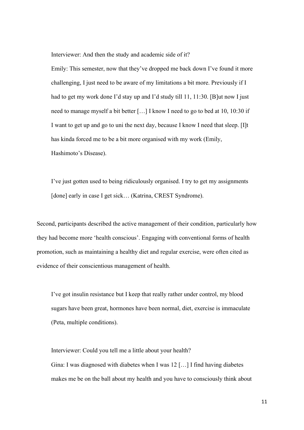Interviewer: And then the study and academic side of it?

Emily: This semester, now that they've dropped me back down I've found it more challenging, I just need to be aware of my limitations a bit more. Previously if I had to get my work done I'd stay up and I'd study till 11, 11:30. [B]ut now I just need to manage myself a bit better […] I know I need to go to bed at 10, 10:30 if I want to get up and go to uni the next day, because I know I need that sleep. [I]t has kinda forced me to be a bit more organised with my work (Emily, Hashimoto's Disease).

I've just gotten used to being ridiculously organised. I try to get my assignments [done] early in case I get sick... (Katrina, CREST Syndrome).

Second, participants described the active management of their condition, particularly how they had become more 'health conscious'. Engaging with conventional forms of health promotion, such as maintaining a healthy diet and regular exercise, were often cited as evidence of their conscientious management of health.

I've got insulin resistance but I keep that really rather under control, my blood sugars have been great, hormones have been normal, diet, exercise is immaculate (Peta, multiple conditions).

Interviewer: Could you tell me a little about your health? Gina: I was diagnosed with diabetes when I was 12 […] I find having diabetes makes me be on the ball about my health and you have to consciously think about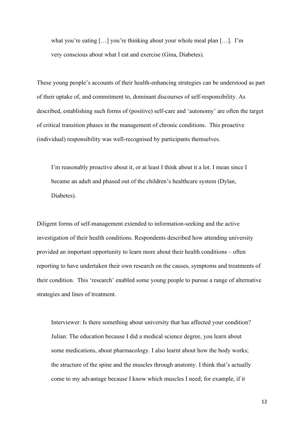what you're eating […] you're thinking about your whole meal plan […]. I'm very conscious about what I eat and exercise (Gina, Diabetes).

These young people's accounts of their health-enhancing strategies can be understood as part of their uptake of, and commitment to, dominant discourses of self-responsibility. As described, establishing such forms of (positive) self-care and 'autonomy' are often the target of critical transition phases in the management of chronic conditions. This proactive (individual) responsibility was well-recognised by participants themselves.

I'm reasonably proactive about it, or at least I think about it a lot. I mean since I became an adult and phased out of the children's healthcare system (Dylan, Diabetes).

Diligent forms of self-management extended to information-seeking and the active investigation of their health conditions. Respondents described how attending university provided an important opportunity to learn more about their health conditions – often reporting to have undertaken their own research on the causes, symptoms and treatments of their condition. This 'research' enabled some young people to pursue a range of alternative strategies and lines of treatment.

Interviewer: Is there something about university that has affected your condition? Julian: The education because I did a medical science degree, you learn about some medications, about pharmacology. I also learnt about how the body works; the structure of the spine and the muscles through anatomy. I think that's actually come to my advantage because I know which muscles I need; for example, if it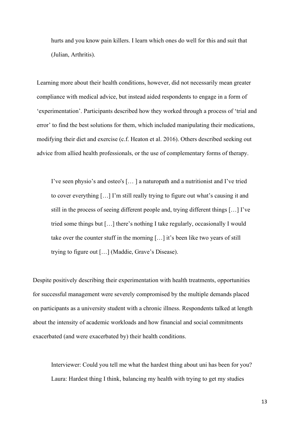hurts and you know pain killers. I learn which ones do well for this and suit that (Julian, Arthritis).

Learning more about their health conditions, however, did not necessarily mean greater compliance with medical advice, but instead aided respondents to engage in a form of 'experimentation'. Participants described how they worked through a process of 'trial and error' to find the best solutions for them, which included manipulating their medications, modifying their diet and exercise (c.f. Heaton et al. 2016). Others described seeking out advice from allied health professionals, or the use of complementary forms of therapy.

I've seen physio's and osteo's [… ] a naturopath and a nutritionist and I've tried to cover everything […] I'm still really trying to figure out what's causing it and still in the process of seeing different people and, trying different things […] I've tried some things but […] there's nothing I take regularly, occasionally I would take over the counter stuff in the morning […] it's been like two years of still trying to figure out […] (Maddie, Grave's Disease).

Despite positively describing their experimentation with health treatments, opportunities for successful management were severely compromised by the multiple demands placed on participants as a university student with a chronic illness. Respondents talked at length about the intensity of academic workloads and how financial and social commitments exacerbated (and were exacerbated by) their health conditions.

Interviewer: Could you tell me what the hardest thing about uni has been for you? Laura: Hardest thing I think, balancing my health with trying to get my studies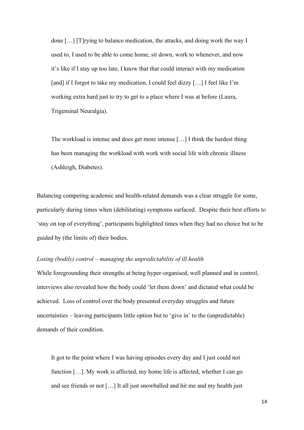done […] [T]rying to balance medication, the attacks, and doing work the way I used to, I used to be able to come home, sit down, work to whenever, and now it's like if I stay up too late, I know that that could interact with my medication [and] if I forgot to take my medication, I could feel dizzy [...] I feel like I'm working extra hard just to try to get to a place where I was at before (Laura, Trigeminal Neuralgia).

The workload is intense and does get more intense […] I think the hardest thing has been managing the workload with work with social life with chronic illness (Ashleigh, Diabetes).

Balancing competing academic and health-related demands was a clear struggle for some, particularly during times when (debilitating) symptoms surfaced. Despite their best efforts to 'stay on top of everything', participants highlighted times when they had no choice but to be guided by (the limits of) their bodies.

## *Losing (bodily) control – managing the unpredictability of ill health*

While foregrounding their strengths at being hyper-organised, well planned and in control, interviews also revealed how the body could 'let them down' and dictated what could be achieved. Loss of control over the body presented everyday struggles and future uncertainties – leaving participants little option but to 'give in' to the (unpredictable) demands of their condition.

It got to the point where I was having episodes every day and I just could not function […]. My work is affected, my home life is affected, whether I can go and see friends or not […] It all just snowballed and hit me and my health just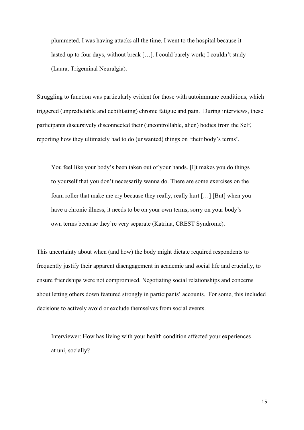plummeted. I was having attacks all the time. I went to the hospital because it lasted up to four days, without break […]. I could barely work; I couldn't study (Laura, Trigeminal Neuralgia).

Struggling to function was particularly evident for those with autoimmune conditions, which triggered (unpredictable and debilitating) chronic fatigue and pain. During interviews, these participants discursively disconnected their (uncontrollable, alien) bodies from the Self, reporting how they ultimately had to do (unwanted) things on 'their body's terms'.

You feel like your body's been taken out of your hands. [I]t makes you do things to yourself that you don't necessarily wanna do. There are some exercises on the foam roller that make me cry because they really, really hurt […] [But] when you have a chronic illness, it needs to be on your own terms, sorry on your body's own terms because they're very separate (Katrina, CREST Syndrome).

This uncertainty about when (and how) the body might dictate required respondents to frequently justify their apparent disengagement in academic and social life and crucially, to ensure friendships were not compromised. Negotiating social relationships and concerns about letting others down featured strongly in participants' accounts. For some, this included decisions to actively avoid or exclude themselves from social events.

Interviewer: How has living with your health condition affected your experiences at uni, socially?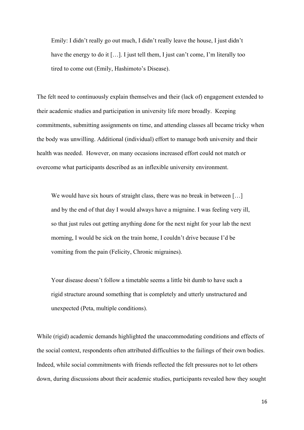Emily: I didn't really go out much, I didn't really leave the house, I just didn't have the energy to do it [...]. I just tell them, I just can't come, I'm literally too tired to come out (Emily, Hashimoto's Disease).

The felt need to continuously explain themselves and their (lack of) engagement extended to their academic studies and participation in university life more broadly. Keeping commitments, submitting assignments on time, and attending classes all became tricky when the body was unwilling. Additional (individual) effort to manage both university and their health was needed. However, on many occasions increased effort could not match or overcome what participants described as an inflexible university environment.

We would have six hours of straight class, there was no break in between [...] and by the end of that day I would always have a migraine. I was feeling very ill, so that just rules out getting anything done for the next night for your lab the next morning, I would be sick on the train home, I couldn't drive because I'd be vomiting from the pain (Felicity, Chronic migraines).

Your disease doesn't follow a timetable seems a little bit dumb to have such a rigid structure around something that is completely and utterly unstructured and unexpected (Peta, multiple conditions).

While (rigid) academic demands highlighted the unaccommodating conditions and effects of the social context, respondents often attributed difficulties to the failings of their own bodies. Indeed, while social commitments with friends reflected the felt pressures not to let others down, during discussions about their academic studies, participants revealed how they sought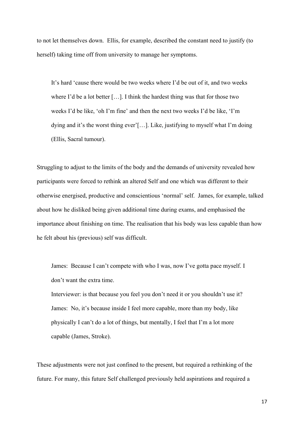to not let themselves down. Ellis, for example, described the constant need to justify (to herself) taking time off from university to manage her symptoms.

It's hard 'cause there would be two weeks where I'd be out of it, and two weeks where I'd be a lot better […]. I think the hardest thing was that for those two weeks I'd be like, 'oh I'm fine' and then the next two weeks I'd be like, 'I'm dying and it's the worst thing ever'[…]. Like, justifying to myself what I'm doing (Ellis, Sacral tumour).

Struggling to adjust to the limits of the body and the demands of university revealed how participants were forced to rethink an altered Self and one which was different to their otherwise energised, productive and conscientious 'normal' self. James, for example, talked about how he disliked being given additional time during exams, and emphasised the importance about finishing on time. The realisation that his body was less capable than how he felt about his (previous) self was difficult.

James: Because I can't compete with who I was, now I've gotta pace myself. I don't want the extra time.

Interviewer: is that because you feel you don't need it or you shouldn't use it? James: No, it's because inside I feel more capable, more than my body, like physically I can't do a lot of things, but mentally, I feel that I'm a lot more capable (James, Stroke).

These adjustments were not just confined to the present, but required a rethinking of the future. For many, this future Self challenged previously held aspirations and required a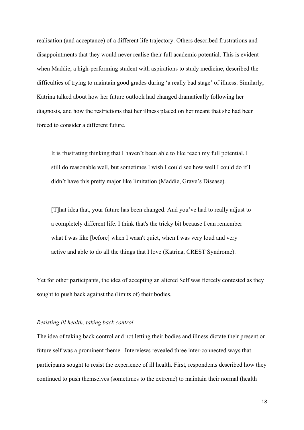realisation (and acceptance) of a different life trajectory. Others described frustrations and disappointments that they would never realise their full academic potential. This is evident when Maddie, a high-performing student with aspirations to study medicine, described the difficulties of trying to maintain good grades during 'a really bad stage' of illness. Similarly, Katrina talked about how her future outlook had changed dramatically following her diagnosis, and how the restrictions that her illness placed on her meant that she had been forced to consider a different future.

It is frustrating thinking that I haven't been able to like reach my full potential. I still do reasonable well, but sometimes I wish I could see how well I could do if I didn't have this pretty major like limitation (Maddie, Grave's Disease).

[T]hat idea that, your future has been changed. And you've had to really adjust to a completely different life. I think that's the tricky bit because I can remember what I was like [before] when I wasn't quiet, when I was very loud and very active and able to do all the things that I love (Katrina, CREST Syndrome).

Yet for other participants, the idea of accepting an altered Self was fiercely contested as they sought to push back against the (limits of) their bodies.

## *Resisting ill health, taking back control*

The idea of taking back control and not letting their bodies and illness dictate their present or future self was a prominent theme. Interviews revealed three inter-connected ways that participants sought to resist the experience of ill health. First, respondents described how they continued to push themselves (sometimes to the extreme) to maintain their normal (health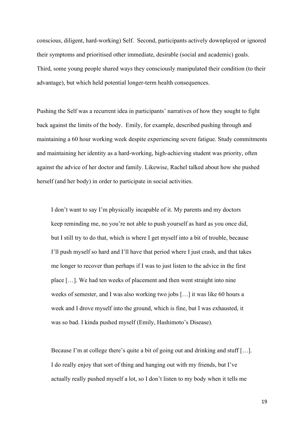conscious, diligent, hard-working) Self. Second, participants actively downplayed or ignored their symptoms and prioritised other immediate, desirable (social and academic) goals. Third, some young people shared ways they consciously manipulated their condition (to their advantage), but which held potential longer-term health consequences.

Pushing the Self was a recurrent idea in participants' narratives of how they sought to fight back against the limits of the body. Emily, for example, described pushing through and maintaining a 60 hour working week despite experiencing severe fatigue. Study commitments and maintaining her identity as a hard-working, high-achieving student was priority, often against the advice of her doctor and family. Likewise, Rachel talked about how she pushed herself (and her body) in order to participate in social activities.

I don't want to say I'm physically incapable of it. My parents and my doctors keep reminding me, no you're not able to push yourself as hard as you once did, but I still try to do that, which is where I get myself into a bit of trouble, because I'll push myself so hard and I'll have that period where I just crash, and that takes me longer to recover than perhaps if I was to just listen to the advice in the first place […]. We had ten weeks of placement and then went straight into nine weeks of semester, and I was also working two jobs […] it was like 60 hours a week and I drove myself into the ground, which is fine, but I was exhausted, it was so bad. I kinda pushed myself (Emily, Hashimoto's Disease).

Because I'm at college there's quite a bit of going out and drinking and stuff [...]. I do really enjoy that sort of thing and hanging out with my friends, but I've actually really pushed myself a lot, so I don't listen to my body when it tells me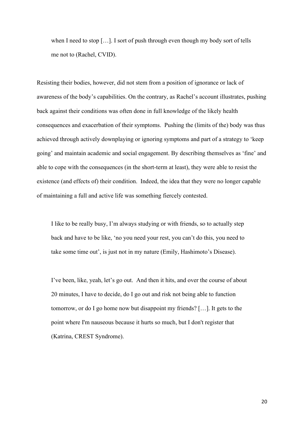when I need to stop […]. I sort of push through even though my body sort of tells me not to (Rachel, CVID).

Resisting their bodies, however, did not stem from a position of ignorance or lack of awareness of the body's capabilities. On the contrary, as Rachel's account illustrates, pushing back against their conditions was often done in full knowledge of the likely health consequences and exacerbation of their symptoms. Pushing the (limits of the) body was thus achieved through actively downplaying or ignoring symptoms and part of a strategy to 'keep going' and maintain academic and social engagement. By describing themselves as 'fine' and able to cope with the consequences (in the short-term at least), they were able to resist the existence (and effects of) their condition. Indeed, the idea that they were no longer capable of maintaining a full and active life was something fiercely contested.

I like to be really busy, I'm always studying or with friends, so to actually step back and have to be like, 'no you need your rest, you can't do this, you need to take some time out', is just not in my nature (Emily, Hashimoto's Disease).

I've been, like, yeah, let's go out. And then it hits, and over the course of about 20 minutes, I have to decide, do I go out and risk not being able to function tomorrow, or do I go home now but disappoint my friends? […]. It gets to the point where I'm nauseous because it hurts so much, but I don't register that (Katrina, CREST Syndrome).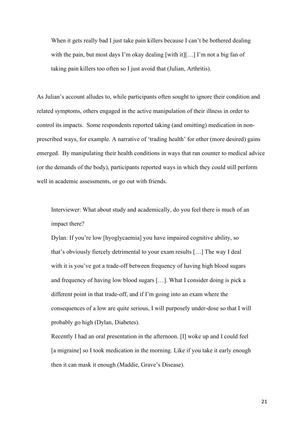When it gets really bad I just take pain killers because I can't be bothered dealing with the pain, but most days I'm okay dealing [with it][...] I'm not a big fan of taking pain killers too often so I just avoid that (Julian, Arthritis).

As Julian's account alludes to, while participants often sought to ignore their condition and related symptoms, others engaged in the active manipulation of their illness in order to control its impacts. Some respondents reported taking (and omitting) medication in nonprescribed ways, for example. A narrative of 'trading health' for other (more desired) gains emerged. By manipulating their health conditions in ways that ran counter to medical advice (or the demands of the body), participants reported ways in which they could still perform well in academic assessments, or go out with friends.

Interviewer: What about study and academically, do you feel there is much of an impact there?

Dylan: If you're low [hyoglycaemia] you have impaired cognitive ability, so that's obviously fiercely detrimental to your exam results […] The way I deal with it is you've got a trade-off between frequency of having high blood sugars and frequency of having low blood sugars […]. What I consider doing is pick a different point in that trade-off, and if I'm going into an exam where the consequences of a low are quite serious, I will purposely under-dose so that I will probably go high (Dylan, Diabetes).

Recently I had an oral presentation in the afternoon. [I] woke up and I could feel [a migraine] so I took medication in the morning. Like if you take it early enough then it can mask it enough (Maddie, Grave's Disease).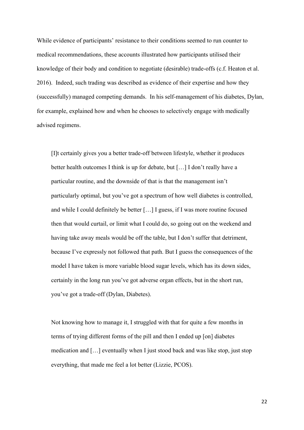While evidence of participants' resistance to their conditions seemed to run counter to medical recommendations, these accounts illustrated how participants utilised their knowledge of their body and condition to negotiate (desirable) trade-offs (c.f. Heaton et al. 2016). Indeed, such trading was described as evidence of their expertise and how they (successfully) managed competing demands. In his self-management of his diabetes, Dylan, for example, explained how and when he chooses to selectively engage with medically advised regimens.

[I]t certainly gives you a better trade-off between lifestyle, whether it produces better health outcomes I think is up for debate, but […] I don't really have a particular routine, and the downside of that is that the management isn't particularly optimal, but you've got a spectrum of how well diabetes is controlled, and while I could definitely be better […] I guess, if I was more routine focused then that would curtail, or limit what I could do, so going out on the weekend and having take away meals would be off the table, but I don't suffer that detriment, because I've expressly not followed that path. But I guess the consequences of the model I have taken is more variable blood sugar levels, which has its down sides, certainly in the long run you've got adverse organ effects, but in the short run, you've got a trade-off (Dylan, Diabetes).

Not knowing how to manage it, I struggled with that for quite a few months in terms of trying different forms of the pill and then I ended up [on] diabetes medication and […] eventually when I just stood back and was like stop, just stop everything, that made me feel a lot better (Lizzie, PCOS).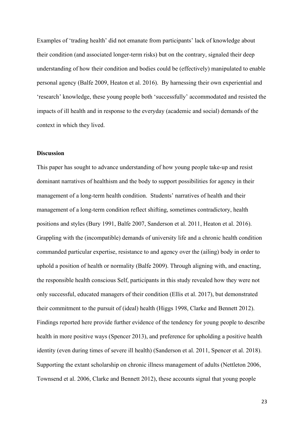Examples of 'trading health' did not emanate from participants' lack of knowledge about their condition (and associated longer-term risks) but on the contrary, signaled their deep understanding of how their condition and bodies could be (effectively) manipulated to enable personal agency (Balfe 2009, Heaton et al. 2016). By harnessing their own experiential and 'research' knowledge, these young people both 'successfully' accommodated and resisted the impacts of ill health and in response to the everyday (academic and social) demands of the context in which they lived.

## **Discussion**

This paper has sought to advance understanding of how young people take-up and resist dominant narratives of healthism and the body to support possibilities for agency in their management of a long-term health condition. Students' narratives of health and their management of a long-term condition reflect shifting, sometimes contradictory, health positions and styles (Bury 1991, Balfe 2007, Sanderson et al. 2011, Heaton et al. 2016). Grappling with the (incompatible) demands of university life and a chronic health condition commanded particular expertise, resistance to and agency over the (ailing) body in order to uphold a position of health or normality (Balfe 2009). Through aligning with, and enacting, the responsible health conscious Self, participants in this study revealed how they were not only successful, educated managers of their condition (Ellis et al. 2017), but demonstrated their commitment to the pursuit of (ideal) health (Higgs 1998, Clarke and Bennett 2012). Findings reported here provide further evidence of the tendency for young people to describe health in more positive ways (Spencer 2013), and preference for upholding a positive health identity (even during times of severe ill health) (Sanderson et al. 2011, Spencer et al. 2018). Supporting the extant scholarship on chronic illness management of adults (Nettleton 2006, Townsend et al. 2006, Clarke and Bennett 2012), these accounts signal that young people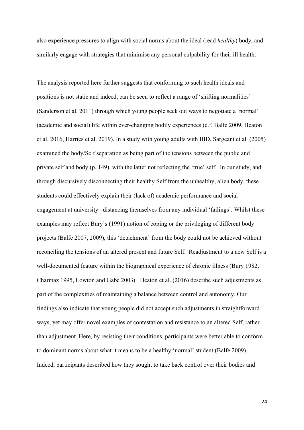also experience pressures to align with social norms about the ideal (read *healthy*) body, and similarly engage with strategies that minimise any personal culpability for their ill health.

The analysis reported here further suggests that conforming to such health ideals and positions is not static and indeed, can be seen to reflect a range of 'shifting normalities' (Sanderson et al. 2011) through which young people seek out ways to negotiate a 'normal' (academic and social) life within ever-changing bodily experiences (c.f. Balfe 2009, Heaton et al. 2016, Harries et al. 2019). In a study with young adults with IBD, Sargeant et al. (2005) examined the body/Self separation as being part of the tensions between the public and private self and body (p. 149), with the latter not reflecting the 'true' self. In our study, and through discursively disconnecting their healthy Self from the unhealthy, alien body, these students could effectively explain their (lack of) academic performance and social engagement at university –distancing themselves from any individual 'failings'. Whilst these examples may reflect Bury's (1991) notion of coping or the privileging of different body projects (Balfe 2007, 2009), this 'detachment' from the body could not be achieved without reconciling the tensions of an altered present and future Self. Readjustment to a new Self is a well-documented feature within the biographical experience of chronic illness (Bury 1982, Charmaz 1995, Lowton and Gabe 2003). Heaton et al. (2016) describe such adjustments as part of the complexities of maintaining a balance between control and autonomy. Our findings also indicate that young people did not accept such adjustments in straightforward ways, yet may offer novel examples of contestation and resistance to an altered Self, rather than adjustment. Here, by resisting their conditions, participants were better able to conform to dominant norms about what it means to be a healthy 'normal' student (Balfe 2009). Indeed, participants described how they sought to take back control over their bodies and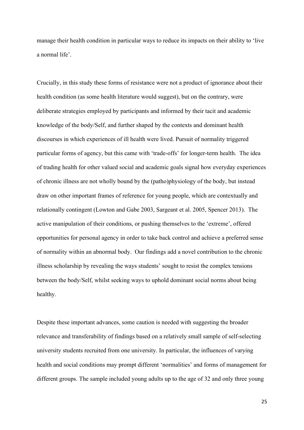manage their health condition in particular ways to reduce its impacts on their ability to 'live a normal life'.

Crucially, in this study these forms of resistance were not a product of ignorance about their health condition (as some health literature would suggest), but on the contrary, were deliberate strategies employed by participants and informed by their tacit and academic knowledge of the body/Self, and further shaped by the contexts and dominant health discourses in which experiences of ill health were lived. Pursuit of normality triggered particular forms of agency, but this came with 'trade-offs' for longer-term health. The idea of trading health for other valued social and academic goals signal how everyday experiences of chronic illness are not wholly bound by the (patho)physiology of the body, but instead draw on other important frames of reference for young people, which are contextually and relationally contingent (Lowton and Gabe 2003, Sargeant et al. 2005, Spencer 2013). The active manipulation of their conditions, or pushing themselves to the 'extreme', offered opportunities for personal agency in order to take back control and achieve a preferred sense of normality within an abnormal body. Our findings add a novel contribution to the chronic illness scholarship by revealing the ways students' sought to resist the complex tensions between the body/Self, whilst seeking ways to uphold dominant social norms about being healthy.

Despite these important advances, some caution is needed with suggesting the broader relevance and transferability of findings based on a relatively small sample of self-selecting university students recruited from one university. In particular, the influences of varying health and social conditions may prompt different 'normalities' and forms of management for different groups. The sample included young adults up to the age of 32 and only three young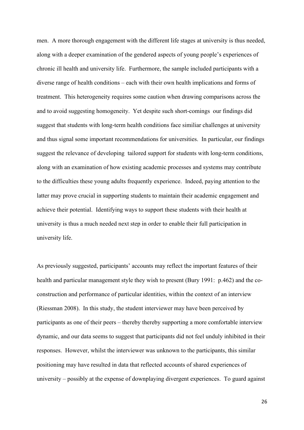men. A more thorough engagement with the different life stages at university is thus needed, along with a deeper examination of the gendered aspects of young people's experiences of chronic ill health and university life. Furthermore, the sample included participants with a diverse range of health conditions – each with their own health implications and forms of treatment. This heterogeneity requires some caution when drawing comparisons across the and to avoid suggesting homogeneity. Yet despite such short-comings our findings did suggest that students with long-term health conditions face similiar challenges at university and thus signal some important recommendations for universities. In particular, our findings suggest the relevance of developing tailored support for students with long-term conditions, along with an examination of how existing academic processes and systems may contribute to the difficulties these young adults frequently experience. Indeed, paying attention to the latter may prove crucial in supporting students to maintain their academic engagement and achieve their potential. Identifying ways to support these students with their health at university is thus a much needed next step in order to enable their full participation in university life.

As previously suggested, participants' accounts may reflect the important features of their health and particular management style they wish to present (Bury 1991: p.462) and the coconstruction and performance of particular identities, within the context of an interview (Riessman 2008). In this study, the student interviewer may have been perceived by participants as one of their peers – thereby thereby supporting a more comfortable interview dynamic, and our data seems to suggest that participants did not feel unduly inhibited in their responses. However, whilst the interviewer was unknown to the participants, this similar positioning may have resulted in data that reflected accounts of shared experiences of university – possibly at the expense of downplaying divergent experiences. To guard against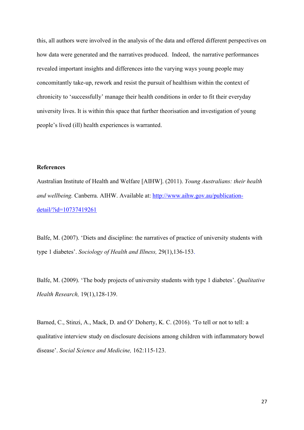this, all authors were involved in the analysis of the data and offered different perspectives on how data were generated and the narratives produced. Indeed, the narrative performances revealed important insights and differences into the varying ways young people may concomitantly take-up, rework and resist the pursuit of healthism within the context of chronicity to 'successfully' manage their health conditions in order to fit their everyday university lives. It is within this space that further theorisation and investigation of young people's lived (ill) health experiences is warranted.

## **References**

Australian Institute of Health and Welfare [AIHW]. (2011). *Young Australians: their health and wellbeing.* Canberra. AIHW. Available at: [http://www.aihw.gov.au/publication](http://www.aihw.gov.au/publication-detail/?id=10737419261)[detail/?id=10737419261](http://www.aihw.gov.au/publication-detail/?id=10737419261)

Balfe, M. (2007). 'Diets and discipline: the narratives of practice of university students with type 1 diabetes'. *Sociology of Health and Illness,* 29(1),136-153.

Balfe, M. (2009). 'The body projects of university students with type 1 diabetes'. *Qualitative Health Research,* 19(1),128-139.

Barned, C., Stinzi, A., Mack, D. and O' Doherty, K. C. (2016). 'To tell or not to tell: a qualitative interview study on disclosure decisions among children with inflammatory bowel disease'. *Social Science and Medicine,* 162:115-123.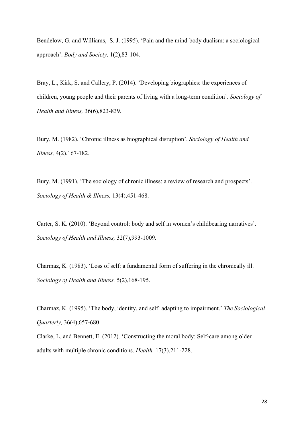Bendelow, G. and Williams, S. J. (1995). 'Pain and the mind-body dualism: a sociological approach'. *Body and Society,* 1(2),83-104.

Bray, L., Kirk, S. and Callery, P. (2014). 'Developing biographies: the experiences of children, young people and their parents of living with a long-term condition'. *Sociology of Health and Illness,* 36(6),823-839.

Bury, M. (1982). 'Chronic illness as biographical disruption'. *Sociology of Health and Illness,* 4(2),167-182.

Bury, M. (1991). 'The sociology of chronic illness: a review of research and prospects'. *Sociology of Health & Illness,* 13(4),451-468.

Carter, S. K. (2010). 'Beyond control: body and self in women's childbearing narratives'. *Sociology of Health and Illness,* 32(7),993-1009.

Charmaz, K. (1983). 'Loss of self: a fundamental form of suffering in the chronically ill. *Sociology of Health and Illness,* 5(2),168-195.

Charmaz, K. (1995). 'The body, identity, and self: adapting to impairment.' *The Sociological Quarterly,* 36(4),657-680.

Clarke, L. and Bennett, E. (2012). 'Constructing the moral body: Self-care among older adults with multiple chronic conditions. *Health,* 17(3),211-228.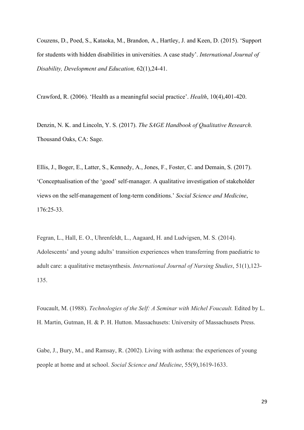Couzens, D., Poed, S., Kataoka, M., Brandon, A., Hartley, J. and Keen, D. (2015). 'Support for students with hidden disabilities in universities. A case study'. *International Journal of Disability, Development and Education,* 62(1),24-41.

Crawford, R. (2006). 'Health as a meaningful social practice'. *Health*, 10(4),401-420.

Denzin, N. K. and Lincoln, Y. S. (2017). *The SAGE Handbook of Qualitative Research.*  Thousand Oaks, CA: Sage.

Ellis, J., Boger, E., Latter, S., Kennedy, A., Jones, F., Foster, C. and Demain, S. (2017). 'Conceptualisation of the 'good' self-manager. A qualitative investigation of stakeholder views on the self-management of long-term conditions.' *Social Science and Medicine*, 176:25-33.

Fegran, L., Hall, E. O., Uhrenfeldt, L., Aagaard, H. and Ludvigsen, M. S. (2014). Adolescents' and young adults' transition experiences when transferring from paediatric to adult care: a qualitative metasynthesis. *International Journal of Nursing Studies*, 51(1),123- 135.

Foucault, M. (1988). *Technologies of the Self: A Seminar with Michel Foucault.* Edited by L. H. Martin, Gutman, H. & P. H. Hutton. Massachusets: University of Massachusets Press.

Gabe, J., Bury, M., and Ramsay, R. (2002). Living with asthma: the experiences of young people at home and at school. *Social Science and Medicine*, 55(9),1619-1633.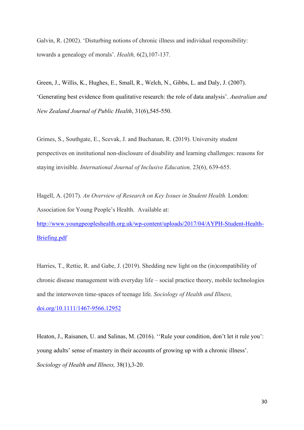Galvin, R. (2002). 'Disturbing notions of chronic illness and individual responsibility: towards a genealogy of morals'. *Health,* 6(2),107-137.

Green, J., Willis, K., Hughes, E., Small, R., Welch, N., Gibbs, L. and Daly, J. (2007). 'Generating best evidence from qualitative research: the role of data analysis'. *Australian and New Zealand Journal of Public Health*, 31(6),545-550.

Grimes, S., Southgate, E., Scevak, J. and Buchanan, R. (2019). University student perspectives on institutional non-disclosure of disability and learning challenges: reasons for staying invisible. *International Journal of Inclusive Education,* 23(6), 639-655.

Hagell, A. (2017). *An Overview of Research on Key Issues in Student Health.* London: Association for Young People's Health. Available at:

[http://www.youngpeopleshealth.org.uk/wp-content/uploads/2017/04/AYPH-Student-Health-](http://www.youngpeopleshealth.org.uk/wp-content/uploads/2017/04/AYPH-Student-Health-Briefing.pdf)[Briefing.pdf](http://www.youngpeopleshealth.org.uk/wp-content/uploads/2017/04/AYPH-Student-Health-Briefing.pdf)

Harries, T., Rettie, R. and Gabe, J. (2019). Shedding new light on the (in)compatibility of chronic disease management with everyday life – social practice theory, mobile technologies and the interwoven time-spaces of teenage life. *Sociology of Health and Illness,* [doi.org/10.1111/1467-9566.12952](https://doi.org/10.1111/1467-9566.12952)

Heaton, J., Raisanen, U. and Salinas, M. (2016). ''Rule your condition, don't let it rule you': young adults' sense of mastery in their accounts of growing up with a chronic illness'. *Sociology of Health and Illness,* 38(1),3-20.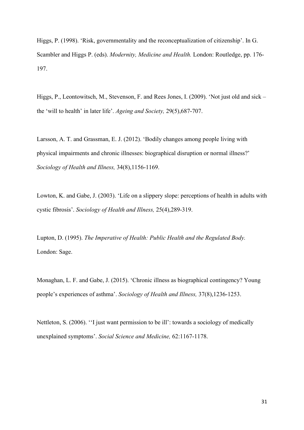Higgs, P. (1998). 'Risk, governmentality and the reconceptualization of citizenship'. In G. Scambler and Higgs P. (eds). *Modernity, Medicine and Health.* London: Routledge, pp. 176- 197.

Higgs, P., Leontowitsch, M., Stevenson, F. and Rees Jones, I. (2009). 'Not just old and sick – the 'will to health' in later life'. *Ageing and Society,* 29(5),687-707.

Larsson, A. T. and Grassman, E. J. (2012). 'Bodily changes among people living with physical impairments and chronic illnesses: biographical disruption or normal illness?' *Sociology of Health and Illness,* 34(8),1156-1169.

Lowton, K. and Gabe, J. (2003). 'Life on a slippery slope: perceptions of health in adults with cystic fibrosis'. *Sociology of Health and Illness,* 25(4),289-319.

Lupton, D. (1995). *The Imperative of Health: Public Health and the Regulated Body.*  London: Sage.

Monaghan, L. F. and Gabe, J. (2015). 'Chronic illness as biographical contingency? Young people's experiences of asthma'. *Sociology of Health and Illness,* 37(8),1236-1253.

Nettleton, S. (2006). ''I just want permission to be ill': towards a sociology of medically unexplained symptoms'. *Social Science and Medicine,* 62:1167-1178.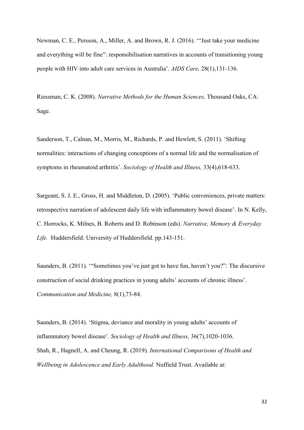Newman, C. E., Persson, A., Miller, A. and Brown, R. J. (2016). '"Just take your medicine and everything will be fine": responsibilisation narratives in accounts of transitioning young people with HIV into adult care services in Australia'. *AIDS Care,* 28(1),131-136.

Riessman, C. K. (2008). *Narrative Methods for the Human Sciences,* Thousand Oaks, CA: Sage.

Sanderson, T., Calnan, M., Morris, M., Richards, P. and Hewlett, S. (2011). 'Shifting normalities: interactions of changing conceptions of a normal life and the normalisation of symptoms in rheumatoid arthritis'. *Sociology of Health and Illness,* 33(4),618-633.

Sargeant, S. J. E., Gross, H. and Middleton, D. (2005). 'Public conveniences, private matters: retrospective narration of adolescent daily life with inflammatory bowel disease'. In N. Kelly, C. Horrocks, K. Milnes, B. Roberts and D. Robinson (eds). *Narrative, Memory & Everyday Life.* Huddersfield: University of Huddersfield. pp.143-151.

Saunders, B. (2011). '"Sometimes you've just got to have fun, haven't you?": The discursive construction of social drinking practices in young adults' accounts of chronic illness'. *Communication and Medicine,* 8(1),73-84.

Saunders, B. (2014). 'Stigma, deviance and morality in young adults' accounts of inflammatory bowel disease'. *Sociology of Health and Illness,* 36(7),1020-1036. Shah, R., Hagnell, A. and Cheung, R. (2019). *International Comparisons of Health and Wellbeing in Adolescence and Early Adulthood.* Nuffield Trust. Available at: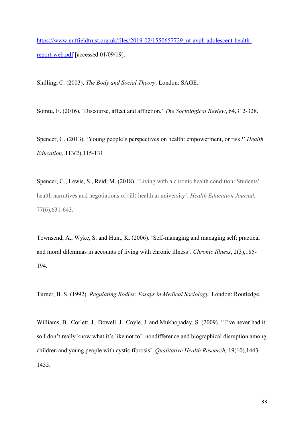[https://www.nuffieldtrust.org.uk/files/2019-02/1550657729\\_nt-ayph-adolescent-health](https://www.nuffieldtrust.org.uk/files/2019-02/1550657729_nt-ayph-adolescent-health-report-web.pdf)[report-web.pdf](https://www.nuffieldtrust.org.uk/files/2019-02/1550657729_nt-ayph-adolescent-health-report-web.pdf) [accessed 01/09/19].

Shilling, C. (2003). *The Body and Social Theory*. London: SAGE.

Sointu, E. (2016). 'Discourse, affect and affliction.' *The Sociological Review*, 64,312-328.

Spencer, G. (2013). 'Young people's perspectives on health: empowerment, or risk?' *Health Education,* 113(2),115-131.

Spencer, G., Lewis, S., Reid, M. (2018). 'Living with a chronic health condition: Students' health narratives and negotiations of (ill) health at university'. *Health Education Journal,*  77(6),631-643.

Townsend, A., Wyke, S. and Hunt, K. (2006). 'Self-managing and managing self: practical and moral dilemmas in accounts of living with chronic illness'. *Chronic Illness*, 2(3),185- 194.

Turner, B. S. (1992). *Regulating Bodies: Essays in Medical Sociology.* London: Routledge.

Williams, B., Corlett, J., Dowell, J., Coyle, J. and Mukhopaday, S. (2009). ''I've never had it so I don't really know what it's like not to': nondifference and biographical disruption among children and young people with cystic fibrosis'. *Qualitative Health Research,* 19(10),1443- 1455.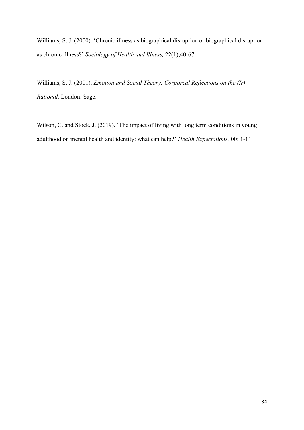Williams, S. J. (2000). 'Chronic illness as biographical disruption or biographical disruption as chronic illness?' *Sociology of Health and Illness,* 22(1),40-67.

Williams, S. J. (2001). *Emotion and Social Theory: Corporeal Reflections on the (Ir) Rational.* London: Sage.

Wilson, C. and Stock, J. (2019). 'The impact of living with long term conditions in young adulthood on mental health and identity: what can help?' *Health Expectations,* 00: 1-11.